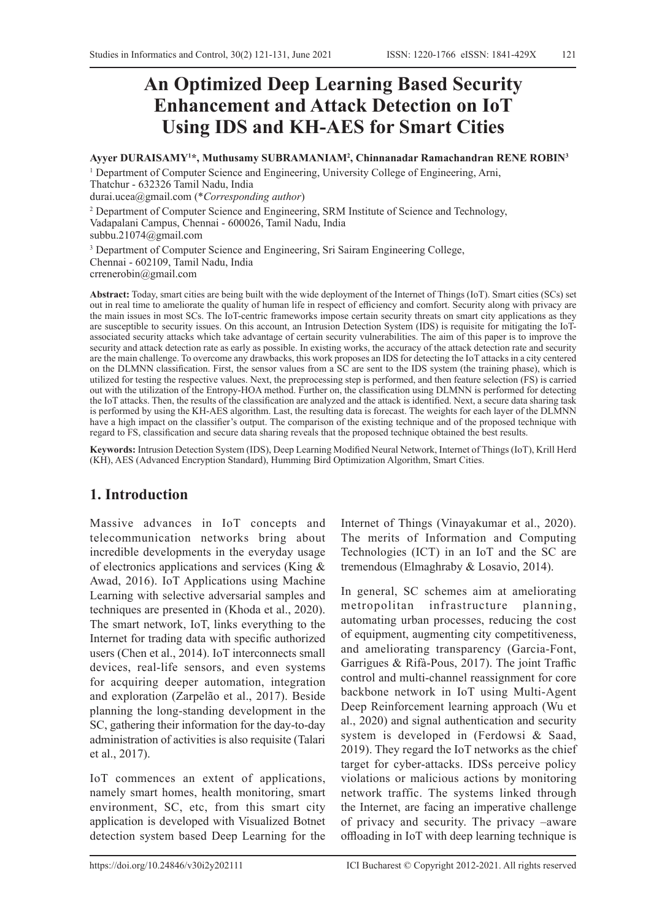# **An Optimized Deep Learning Based Security Enhancement and Attack Detection on IoT Using IDS and KH-AES for Smart Cities**

**Ayyer DURAISAMY1 \*, Muthusamy SUBRAMANIAM2 , Chinnanadar Ramachandran RENE ROBIN3**

<sup>1</sup> Department of Computer Science and Engineering, University College of Engineering, Arni, Thatchur - 632326 Tamil Nadu, India durai.ucea@gmail.com (\**Corresponding author*)

<sup>2</sup> Department of Computer Science and Engineering, SRM Institute of Science and Technology, Vadapalani Campus, Chennai - 600026, Tamil Nadu, India subbu.21074@gmail.com

<sup>3</sup> Department of Computer Science and Engineering, Sri Sairam Engineering College, Chennai - 602109, Tamil Nadu, India crrenerobin@gmail.com

**Abstract:** Today, smart cities are being built with the wide deployment of the Internet of Things (IoT). Smart cities (SCs) set out in real time to ameliorate the quality of human life in respect of efficiency and comfort. Security along with privacy are the main issues in most SCs. The IoT-centric frameworks impose certain security threats on smart city applications as they are susceptible to security issues. On this account, an Intrusion Detection System (IDS) is requisite for mitigating the IoTassociated security attacks which take advantage of certain security vulnerabilities. The aim of this paper is to improve the security and attack detection rate as early as possible. In existing works, the accuracy of the attack detection rate and security are the main challenge. To overcome any drawbacks, this work proposes an IDS for detecting the IoT attacks in a city centered on the DLMNN classification. First, the sensor values from a SC are sent to the IDS system (the training phase), which is utilized for testing the respective values. Next, the preprocessing step is performed, and then feature selection (FS) is carried out with the utilization of the Entropy-HOA method. Further on, the classification using DLMNN is performed for detecting the IoT attacks. Then, the results of the classification are analyzed and the attack is identified. Next, a secure data sharing task is performed by using the KH-AES algorithm. Last, the resulting data is forecast. The weights for each layer of the DLMNN have a high impact on the classifier's output. The comparison of the existing technique and of the proposed technique with regard to FS, classification and secure data sharing reveals that the proposed technique obtained the best results.

**Keywords:** Intrusion Detection System (IDS), Deep Learning Modified Neural Network, Internet of Things (IoT), Krill Herd (KH), AES (Advanced Encryption Standard), Humming Bird Optimization Algorithm, Smart Cities.

# **1. Introduction**

Massive advances in IoT concepts and telecommunication networks bring about incredible developments in the everyday usage of electronics applications and services (King & Awad, 2016). IoT Applications using Machine Learning with selective adversarial samples and techniques are presented in (Khoda et al., 2020). The smart network, IoT, links everything to the Internet for trading data with specific authorized users (Chen et al., 2014). IoT interconnects small devices, real-life sensors, and even systems for acquiring deeper automation, integration and exploration (Zarpelão et al., 2017). Beside planning the long-standing development in the SC, gathering their information for the day-to-day administration of activities is also requisite (Talari et al., 2017).

IoT commences an extent of applications, namely smart homes, health monitoring, smart environment, SC, etc, from this smart city application is developed with Visualized Botnet detection system based Deep Learning for the Internet of Things (Vinayakumar et al., 2020). The merits of Information and Computing Technologies (ICT) in an IoT and the SC are tremendous (Elmaghraby & Losavio, 2014).

In general, SC schemes aim at ameliorating metropolitan infrastructure planning, automating urban processes, reducing the cost of equipment, augmenting city competitiveness, and ameliorating transparency (Garcia-Font, Garrigues & Rifà-Pous, 2017). The joint Traffic control and multi-channel reassignment for core backbone network in IoT using Multi-Agent Deep Reinforcement learning approach (Wu et al., 2020) and signal authentication and security system is developed in (Ferdowsi & Saad, 2019). They regard the IoT networks as the chief target for cyber-attacks. IDSs perceive policy violations or malicious actions by monitoring network traffic. The systems linked through the Internet, are facing an imperative challenge of privacy and security. The privacy –aware offloading in IoT with deep learning technique is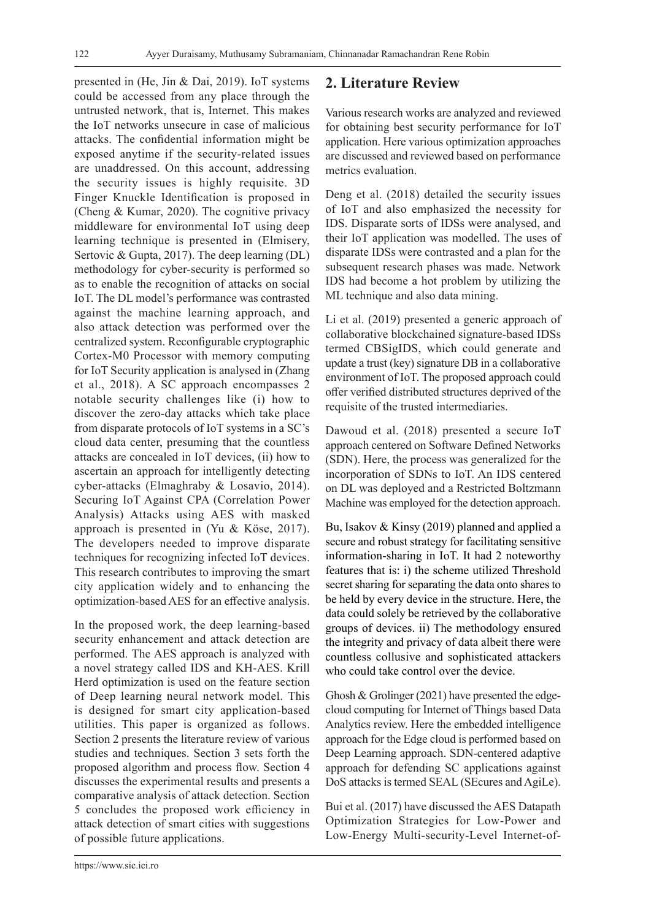presented in (He, Jin & Dai, 2019). IoT systems could be accessed from any place through the untrusted network, that is, Internet. This makes the IoT networks unsecure in case of malicious attacks. The confidential information might be exposed anytime if the security-related issues are unaddressed. On this account, addressing the security issues is highly requisite. 3D Finger Knuckle Identification is proposed in (Cheng & Kumar, 2020). The cognitive privacy middleware for environmental IoT using deep learning technique is presented in (Elmisery, Sertovic & Gupta, 2017). The deep learning (DL) methodology for cyber-security is performed so as to enable the recognition of attacks on social IoT. The DL model's performance was contrasted against the machine learning approach, and also attack detection was performed over the centralized system. Reconfigurable cryptographic Cortex-M0 Processor with memory computing for IoT Security application is analysed in (Zhang et al., 2018). A SC approach encompasses 2 notable security challenges like (i) how to discover the zero-day attacks which take place from disparate protocols of IoT systems in a SC's cloud data center, presuming that the countless attacks are concealed in IoT devices, (ii) how to ascertain an approach for intelligently detecting cyber-attacks (Elmaghraby & Losavio, 2014). Securing IoT Against CPA (Correlation Power Analysis) Attacks using AES with masked approach is presented in (Yu & Köse, 2017). The developers needed to improve disparate techniques for recognizing infected IoT devices. This research contributes to improving the smart city application widely and to enhancing the optimization-based AES for an effective analysis.

In the proposed work, the deep learning-based security enhancement and attack detection are performed. The AES approach is analyzed with a novel strategy called IDS and KH-AES. Krill Herd optimization is used on the feature section of Deep learning neural network model. This is designed for smart city application-based utilities. This paper is organized as follows. Section 2 presents the literature review of various studies and techniques. Section 3 sets forth the proposed algorithm and process flow. Section 4 discusses the experimental results and presents a comparative analysis of attack detection. Section 5 concludes the proposed work efficiency in attack detection of smart cities with suggestions of possible future applications.

# **2. Literature Review**

Various research works are analyzed and reviewed for obtaining best security performance for IoT application. Here various optimization approaches are discussed and reviewed based on performance metrics evaluation.

Deng et al. (2018) detailed the security issues of IoT and also emphasized the necessity for IDS. Disparate sorts of IDSs were analysed, and their IoT application was modelled. The uses of disparate IDSs were contrasted and a plan for the subsequent research phases was made. Network IDS had become a hot problem by utilizing the ML technique and also data mining.

Li et al. (2019) presented a generic approach of collaborative blockchained signature-based IDSs termed CBSigIDS, which could generate and update a trust (key) signature DB in a collaborative environment of IoT. The proposed approach could offer verified distributed structures deprived of the requisite of the trusted intermediaries.

Dawoud et al. (2018) presented a secure IoT approach centered on Software Defined Networks (SDN). Here, the process was generalized for the incorporation of SDNs to IoT. An IDS centered on DL was deployed and a Restricted Boltzmann Machine was employed for the detection approach.

Bu, Isakov & Kinsy (2019) planned and applied a secure and robust strategy for facilitating sensitive information-sharing in IoT. It had 2 noteworthy features that is: i) the scheme utilized Threshold secret sharing for separating the data onto shares to be held by every device in the structure. Here, the data could solely be retrieved by the collaborative groups of devices. ii) The methodology ensured the integrity and privacy of data albeit there were countless collusive and sophisticated attackers who could take control over the device.

Ghosh & Grolinger (2021) have presented the edgecloud computing for Internet of Things based Data Analytics review. Here the embedded intelligence approach for the Edge cloud is performed based on Deep Learning approach. SDN-centered adaptive approach for defending SC applications against DoS attacks is termed SEAL (SEcures and AgiLe).

Bui et al. (2017) have discussed the AES Datapath Optimization Strategies for Low-Power and Low-Energy Multi-security-Level Internet-of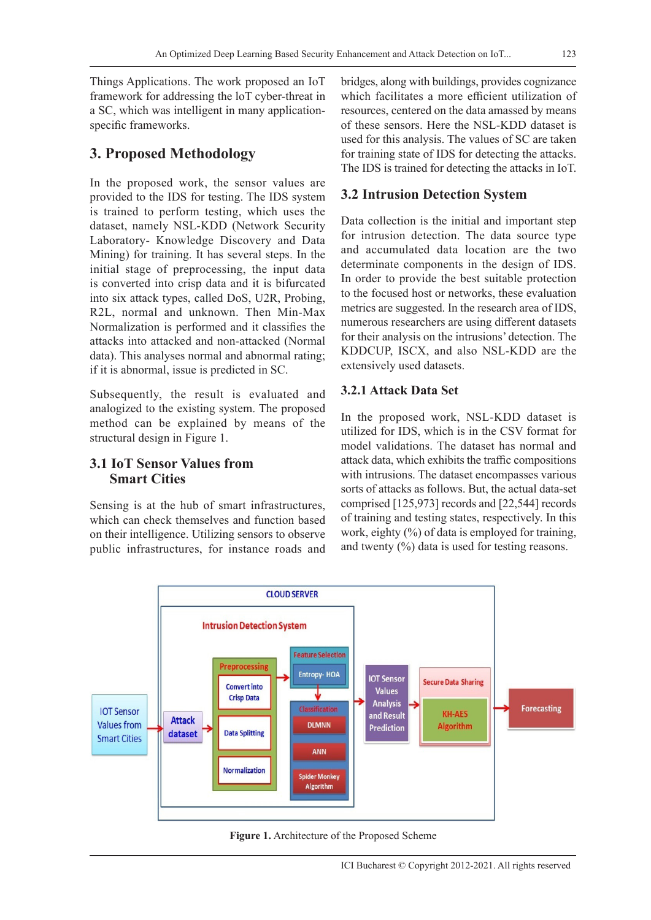Things Applications. The work proposed an IoT framework for addressing the loT cyber-threat in a SC, which was intelligent in many applicationspecific frameworks.

# **3. Proposed Methodology**

In the proposed work, the sensor values are provided to the IDS for testing. The IDS system is trained to perform testing, which uses the dataset, namely NSL-KDD (Network Security Laboratory- Knowledge Discovery and Data Mining) for training. It has several steps. In the initial stage of preprocessing, the input data is converted into crisp data and it is bifurcated into six attack types, called DoS, U2R, Probing, R2L, normal and unknown. Then Min-Max Normalization is performed and it classifies the attacks into attacked and non-attacked (Normal data). This analyses normal and abnormal rating; if it is abnormal, issue is predicted in SC.

Subsequently, the result is evaluated and analogized to the existing system. The proposed method can be explained by means of the structural design in Figure 1.

# **3.1 IoT Sensor Values from Smart Cities**

Sensing is at the hub of smart infrastructures, which can check themselves and function based on their intelligence. Utilizing sensors to observe public infrastructures, for instance roads and bridges, along with buildings, provides cognizance which facilitates a more efficient utilization of resources, centered on the data amassed by means of these sensors. Here the NSL-KDD dataset is used for this analysis. The values of SC are taken for training state of IDS for detecting the attacks. The IDS is trained for detecting the attacks in IoT.

# **3.2 Intrusion Detection System**

Data collection is the initial and important step for intrusion detection. The data source type and accumulated data location are the two determinate components in the design of IDS. In order to provide the best suitable protection to the focused host or networks, these evaluation metrics are suggested. In the research area of IDS, numerous researchers are using different datasets for their analysis on the intrusions' detection. The KDDCUP, ISCX, and also NSL-KDD are the extensively used datasets.

# **3.2.1 Attack Data Set**

In the proposed work, NSL-KDD dataset is utilized for IDS, which is in the CSV format for model validations. The dataset has normal and attack data, which exhibits the traffic compositions with intrusions. The dataset encompasses various sorts of attacks as follows. But, the actual data-set comprised [125,973] records and [22,544] records of training and testing states, respectively. In this work, eighty  $(\%)$  of data is employed for training, and twenty (%) data is used for testing reasons.



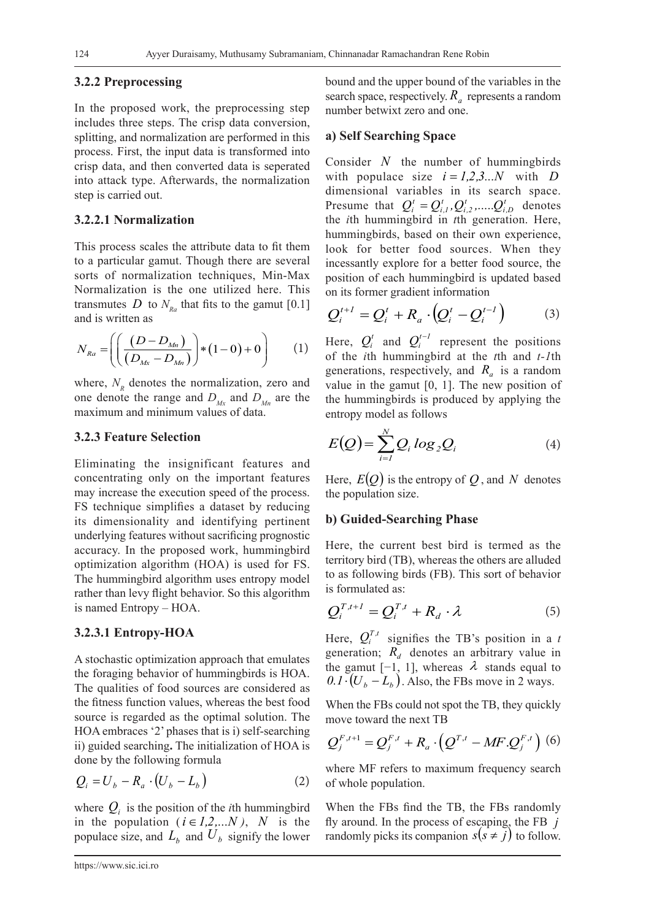#### **3.2.2 Preprocessing**

In the proposed work, the preprocessing step includes three steps. The crisp data conversion, splitting, and normalization are performed in this process. First, the input data is transformed into crisp data, and then converted data is seperated into attack type. Afterwards, the normalization step is carried out.

#### **3.2.2.1 Normalization**

This process scales the attribute data to fit them to a particular gamut. Though there are several sorts of normalization techniques, Min-Max Normalization is the one utilized here. This transmutes *D* to  $N_{p_a}$  that fits to the gamut [0.1] and is written as

$$
N_{Ra} = \left( \left( \frac{(D - D_{Mn})}{(D_{Mx} - D_{Mn})} \right) * (1 - 0) + 0 \right) \tag{1}
$$

where,  $N<sub>n</sub>$  denotes the normalization, zero and one denote the range and  $D_{Mx}$  and  $D_{Mn}$  are the maximum and minimum values of data.

#### **3.2.3 Feature Selection**

Eliminating the insignificant features and concentrating only on the important features may increase the execution speed of the process. FS technique simplifies a dataset by reducing its dimensionality and identifying pertinent underlying features without sacrificing prognostic accuracy. In the proposed work, hummingbird optimization algorithm (HOA) is used for FS. The hummingbird algorithm uses entropy model rather than levy flight behavior. So this algorithm is named Entropy – HOA.

#### **3.2.3.1 Entropy-HOA**

A stochastic optimization approach that emulates the foraging behavior of hummingbirds is HOA. The qualities of food sources are considered as the fitness function values, whereas the best food source is regarded as the optimal solution. The HOA embraces '2' phases that is i) self-searching ii) guided searching**.** The initialization of HOA is done by the following formula

$$
Q_i = U_b - R_a \cdot (U_b - L_b) \tag{2}
$$

where  $Q_i$  is the position of the *i*th hummingbird in the population  $(i \in I, 2,...N)$ , *N* is the populace size, and  $L_b$  and  $U_b$  signify the lower bound and the upper bound of the variables in the search space, respectively.  $R_a$  represents a random number betwixt zero and one.

#### **a) Self Searching Space**

Consider *N* the number of hummingbirds with populace size  $i = 1,2,3...N$  with *D* dimensional variables in its search space. Presume that  $Q_i^t = Q_{i,l}^t, Q_{i,2}^t, \dots, Q_{i,D}^t$ *t i,2 t*  $Q_i^t = Q_{i,l}^t, Q_{i,2}^t, \dots, Q_{i,D}^t$  denotes the *i*th hummingbird in *t*th generation. Here, hummingbirds, based on their own experience, look for better food sources. When they incessantly explore for a better food source, the position of each hummingbird is updated based on its former gradient information

$$
Q_i^{t+1} = Q_i^t + R_a \cdot \left(Q_i^t - Q_i^{t-1}\right) \tag{3}
$$

Here,  $Q_i^t$  and  $Q_i^{t-1}$  represent the positions of the *i*th hummingbird at the *t*th and *t-1*th generations, respectively, and  $R_a$  is a random value in the gamut [0, 1]. The new position of the hummingbirds is produced by applying the entropy model as follows

$$
E(Q) = \sum_{i=1}^{N} Q_i \log_2 Q_i \tag{4}
$$

Here,  $E(Q)$  is the entropy of  $Q$ , and  $N$  denotes the population size.

### **b) Guided-Searching Phase**

Here, the current best bird is termed as the territory bird (TB), whereas the others are alluded to as following birds (FB). This sort of behavior is formulated as:

$$
Q_i^{T,t+1} = Q_i^{T,t} + R_d \cdot \lambda \tag{5}
$$

Here,  $Q_i^{T,t}$  signifies the TB's position in a *t* generation;  $\overline{R}_d$  denotes an arbitrary value in the gamut [-1, 1], whereas  $\lambda$  stands equal to  $( 0.1 \cdot (U_b - L_b)$ . Also, the FBs move in 2 ways.

When the FBs could not spot the TB, they quickly move toward the next TB

$$
Q_j^{F,t+1} = Q_j^{F,t} + R_a \cdot (Q^{T,t} - MF.Q_j^{F,t})
$$
 (6)

where MF refers to maximum frequency search of whole population.

When the FBs find the TB, the FBs randomly fly around. In the process of escaping, the FB *j* randomly picks its companion  $s(s \neq j)$  to follow.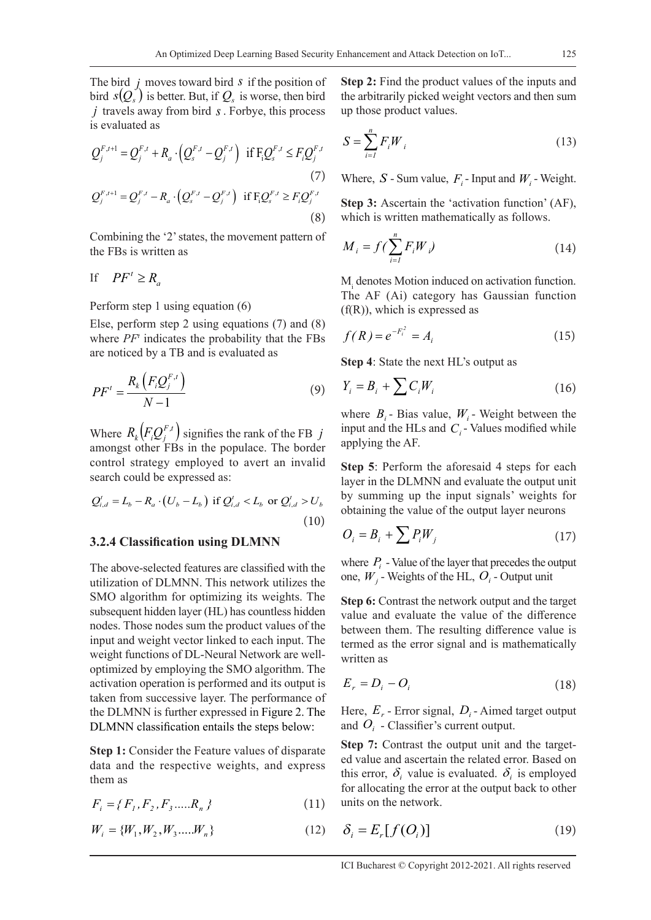The bird *j* moves toward bird *s* if the position of bird  $s(Q_s)$  is better. But, if  $Q_s$  is worse, then bird *j* travels away from bird *s*. Forbye, this process is evaluated as

$$
Q_j^{F,t+1} = Q_j^{F,t} + R_a \cdot (Q_s^{F,t} - Q_j^{F,t}) \text{ if } F_i Q_s^{F,t} \le F_i Q_j^{F,t}
$$
\n
$$
Q_j^{F,t+1} = Q_j^{F,t} - R_a \cdot (Q_s^{F,t} - Q_j^{F,t}) \text{ if } F_i Q_s^{F,t} \ge F_i Q_j^{F,t}
$$
\n(8)

Combining the '2' states, the movement pattern of the FBs is written as

$$
\text{If} \quad PF' \ge R_a
$$

#### Perform step 1 using equation (6)

Else, perform step 2 using equations (7) and (8) where *PFt* indicates the probability that the FBs are noticed by a TB and is evaluated as

$$
PF' = \frac{R_k \left( F_i Q_j^{F,t} \right)}{N - 1} \tag{9}
$$

Where  $R_k \big( F_i \mathcal{Q}_j^{F,t} \big)$  signifies the rank of the FB *j* amongst other FBs in the populace. The border control strategy employed to avert an invalid search could be expressed as:

$$
Q_{i,d}^t = L_b - R_a \cdot (U_b - L_b) \text{ if } Q_{i,d}^t < L_b \text{ or } Q_{i,d}^t > U_b \tag{10}
$$

#### **3.2.4 Classification using DLMNN**

The above-selected features are classified with the utilization of DLMNN. This network utilizes the SMO algorithm for optimizing its weights. The subsequent hidden layer (HL) has countless hidden nodes. Those nodes sum the product values of the input and weight vector linked to each input. The weight functions of DL-Neural Network are welloptimized by employing the SMO algorithm. The activation operation is performed and its output is taken from successive layer. The performance of the DLMNN is further expressed in Figure 2. The DLMNN classification entails the steps below:

**Step 1:** Consider the Feature values of disparate data and the respective weights, and express them as

$$
F_i = \{F_1, F_2, F_3, \dots, R_n\}
$$
 (11)

$$
W_i = \{W_1, W_2, W_3, \dots, W_n\}
$$
 (12)

**Step 2:** Find the product values of the inputs and the arbitrarily picked weight vectors and then sum up those product values.

$$
S = \sum_{i=1}^{n} F_i W_i \tag{13}
$$

Where,  $S$  - Sum value,  $F_i$ - Input and  $W_i$ - Weight.

**Step 3:** Ascertain the 'activation function' (AF), which is written mathematically as follows.

$$
M_i = f\left(\sum_{i=1}^n F_i W_i\right) \tag{14}
$$

 $M<sub>i</sub>$  denotes Motion induced on activation function. The AF (Ai) category has Gaussian function  $(f(R))$ , which is expressed as

$$
f(R) = e^{-F_i^2} = A_i
$$
 (15)

**Step 4**: State the next HL's output as

$$
Y_i = B_i + \sum C_i W_i \tag{16}
$$

where  $B_i$ - Bias value,  $W_i$ - Weight between the input and the HLs and  $C_i$ -Values modified while applying the AF.

**Step 5**: Perform the aforesaid 4 steps for each layer in the DLMNN and evaluate the output unit by summing up the input signals' weights for obtaining the value of the output layer neurons

$$
O_i = B_i + \sum P_i W_j \tag{17}
$$

where  $P_i$  - Value of the layer that precedes the output one,  $W_i$  - Weights of the HL,  $O_i$  - Output unit

**Step 6:** Contrast the network output and the target value and evaluate the value of the difference between them. The resulting difference value is termed as the error signal and is mathematically written as

$$
E_r = D_i - O_i \tag{18}
$$

Here,  $E_r$  - Error signal,  $D_i$  - Aimed target output and  $O_i$  - Classifier's current output.

**Step 7:** Contrast the output unit and the targeted value and ascertain the related error. Based on this error,  $\delta_i$  value is evaluated.  $\delta_i$  is employed for allocating the error at the output back to other units on the network.

$$
\delta_i = E_r[f(O_i)] \tag{19}
$$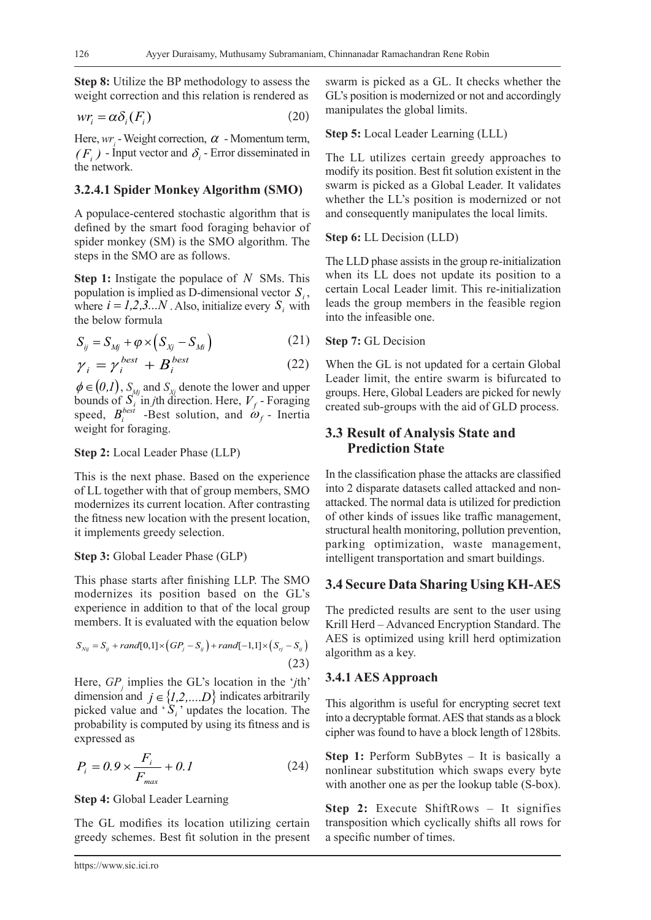**Step 8:** Utilize the BP methodology to assess the weight correction and this relation is rendered as

$$
wr_i = \alpha \delta_i(F_i)
$$
 (20)

Here,  $wr_i$  - Weight correction,  $\alpha$  - Momentum term,  $(F_i)$  - Input vector and  $\delta_i$  - Error disseminated in the network.

#### **3.2.4.1 Spider Monkey Algorithm (SMO)**

A populace-centered stochastic algorithm that is defined by the smart food foraging behavior of spider monkey (SM) is the SMO algorithm. The steps in the SMO are as follows.

**Step 1:** Instigate the populace of *N* SMs. This population is implied as D-dimensional vector  $S_i$ , where  $i = 1,2,3...N$ . Also, initialize every  $S_i$  with the below formula

$$
S_{ij} = S_{Mj} + \varphi \times (S_{Xj} - S_{Mi}) \tag{21}
$$

$$
\gamma_i = \gamma_i^{best} + B_i^{best} \tag{22}
$$

 $\phi \in (0,1)$ ,  $S_M$  and  $S_X$  denote the lower and upper bounds of  $S_i^{w_j}$  in *j*th direction. Here,  $V_f$ -Foraging speed,  $B_i^{best}$  -Best solution, and  $\omega_f$  - Inertia weight for foraging.

#### **Step 2:** Local Leader Phase (LLP)

This is the next phase. Based on the experience of LL together with that of group members, SMO modernizes its current location. After contrasting the fitness new location with the present location, it implements greedy selection.

#### **Step 3:** Global Leader Phase (GLP)

This phase starts after finishing LLP. The SMO modernizes its position based on the GL's experience in addition to that of the local group members. It is evaluated with the equation below

$$
S_{\text{Nij}} = S_{ij} + \text{rand}[0,1] \times (GP_i - S_{ij}) + \text{rand}[-1,1] \times (S_{ri} - S_{ij})
$$
\n(23)

Here, *GPj* implies the GL's location in the '*j*th' dimension and  $j \in \{1,2,...,D\}$  indicates arbitrarily picked value and  $S_i$ <sup>,</sup> updates the location. The probability is computed by using its fitness and is expressed as

$$
P_i = 0.9 \times \frac{F_i}{F_{max}} + 0.1
$$
 (24)

#### **Step 4:** Global Leader Learning

The GL modifies its location utilizing certain greedy schemes. Best fit solution in the present swarm is picked as a GL. It checks whether the GL's position is modernized or not and accordingly manipulates the global limits.

#### **Step 5:** Local Leader Learning (LLL)

The LL utilizes certain greedy approaches to modify its position. Best fit solution existent in the swarm is picked as a Global Leader. It validates whether the LL's position is modernized or not and consequently manipulates the local limits.

#### **Step 6:** LL Decision (LLD)

The LLD phase assists in the group re-initialization when its LL does not update its position to a certain Local Leader limit. This re-initialization leads the group members in the feasible region into the infeasible one.

#### **Step 7:** GL Decision

When the GL is not updated for a certain Global Leader limit, the entire swarm is bifurcated to groups. Here, Global Leaders are picked for newly created sub-groups with the aid of GLD process.

# **3.3 Result of Analysis State and Prediction State**

In the classification phase the attacks are classified into 2 disparate datasets called attacked and nonattacked. The normal data is utilized for prediction of other kinds of issues like traffic management, structural health monitoring, pollution prevention, parking optimization, waste management, intelligent transportation and smart buildings.

### **3.4 Secure Data Sharing Using KH-AES**

The predicted results are sent to the user using Krill Herd – Advanced Encryption Standard. The AES is optimized using krill herd optimization algorithm as a key.

#### **3.4.1 AES Approach**

This algorithm is useful for encrypting secret text into a decryptable format. AES that stands as a block cipher was found to have a block length of 128bits.

**Step 1:** Perform SubBytes – It is basically a nonlinear substitution which swaps every byte with another one as per the lookup table (S-box).

**Step 2:** Execute ShiftRows – It signifies transposition which cyclically shifts all rows for a specific number of times.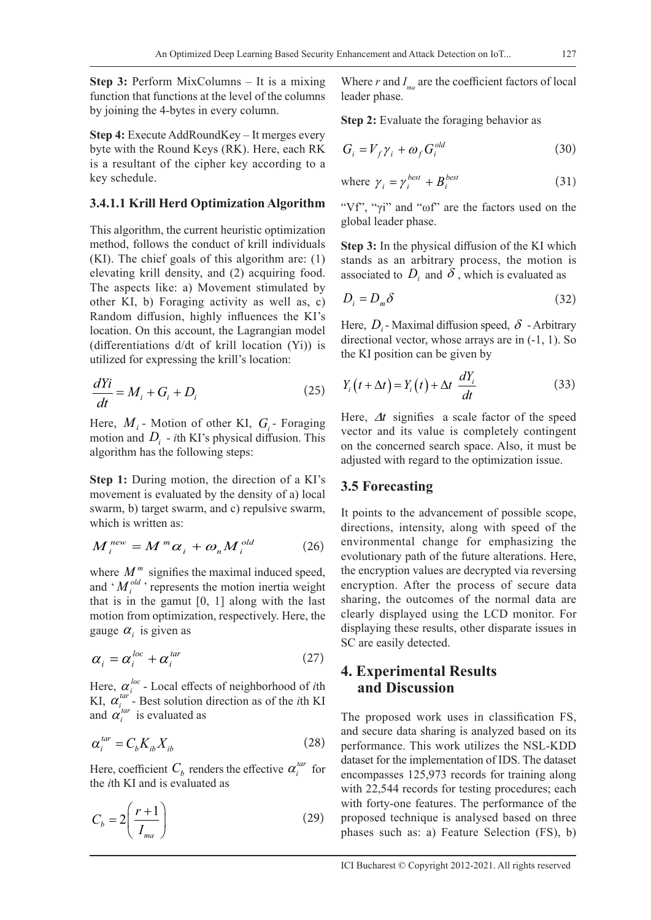**Step 3:** Perform MixColumns – It is a mixing function that functions at the level of the columns by joining the 4-bytes in every column.

**Step 4:** Execute AddRoundKey – It merges every byte with the Round Keys (RK). Here, each RK is a resultant of the cipher key according to a key schedule.

### **3.4.1.1 Krill Herd Optimization Algorithm**

This algorithm, the current heuristic optimization method, follows the conduct of krill individuals (KI). The chief goals of this algorithm are: (1) elevating krill density, and (2) acquiring food. The aspects like: a) Movement stimulated by other KI, b) Foraging activity as well as, c) Random diffusion, highly influences the KI's location. On this account, the Lagrangian model (differentiations d/dt of krill location (Yi)) is utilized for expressing the krill's location:

$$
\frac{dYi}{dt} = M_i + G_i + D_i \tag{25}
$$

Here,  $M_i$  - Motion of other KI,  $G_i$  - Foraging motion and  $D_i$  - *i*th KI's physical diffusion. This algorithm has the following steps:

**Step 1:** During motion, the direction of a KI's movement is evaluated by the density of a) local swarm, b) target swarm, and c) repulsive swarm, which is written as:

$$
M_i^{new} = M^m \alpha_i + \omega_n M_i^{old} \tag{26}
$$

where  $M^m$  signifies the maximal induced speed, and  $^{\circ}$  *M*<sup>old</sup>, represents the motion inertia weight that is in the gamut [0, 1] along with the last motion from optimization, respectively. Here, the gauge  $\alpha_i$  is given as

$$
\alpha_i = \alpha_i^{loc} + \alpha_i^{tar} \tag{27}
$$

Here,  $\alpha_i^{loc}$  - Local effects of neighborhood of *i*th KI,  $\alpha_i^{tar}$  - Best solution direction as of the *i*th KI and  $\alpha_i^{tar}$  is evaluated as

$$
\alpha_i^{tar} = C_b K_{ib} X_{ib} \tag{28}
$$

Here, coefficient  $C_b$  renders the effective  $\alpha_i^{tar}$  for the *i*th KI and is evaluated as

$$
C_b = 2\left(\frac{r+1}{I_{ma}}\right) \tag{29}
$$

Where  $r$  and  $I_{ma}$  are the coefficient factors of local leader phase.

**Step 2:** Evaluate the foraging behavior as

$$
G_i = V_f \gamma_i + \omega_f G_i^{old}
$$
 (30)

where 
$$
\gamma_i = \gamma_i^{best} + B_i^{best}
$$
 (31)

"Vf", "γi" and "ωf" are the factors used on the global leader phase.

**Step 3:** In the physical diffusion of the KI which stands as an arbitrary process, the motion is associated to  $D_i$  and  $\delta$ , which is evaluated as

$$
D_i = D_m \delta \tag{32}
$$

Here,  $D_i$  - Maximal diffusion speed,  $\delta$  - Arbitrary directional vector, whose arrays are in (-1, 1). So the KI position can be given by

$$
Y_i(t + \Delta t) = Y_i(t) + \Delta t \frac{dY_i}{dt}
$$
 (33)

Here, ∆*t* signifies a scale factor of the speed vector and its value is completely contingent on the concerned search space. Also, it must be adjusted with regard to the optimization issue.

### **3.5 Forecasting**

It points to the advancement of possible scope, directions, intensity, along with speed of the environmental change for emphasizing the evolutionary path of the future alterations. Here, the encryption values are decrypted via reversing encryption. After the process of secure data sharing, the outcomes of the normal data are clearly displayed using the LCD monitor. For displaying these results, other disparate issues in SC are easily detected.

## **4. Experimental Results and Discussion**

The proposed work uses in classification FS, and secure data sharing is analyzed based on its performance. This work utilizes the NSL-KDD dataset for the implementation of IDS. The dataset encompasses 125,973 records for training along with 22,544 records for testing procedures; each with forty-one features. The performance of the proposed technique is analysed based on three phases such as: a) Feature Selection (FS), b)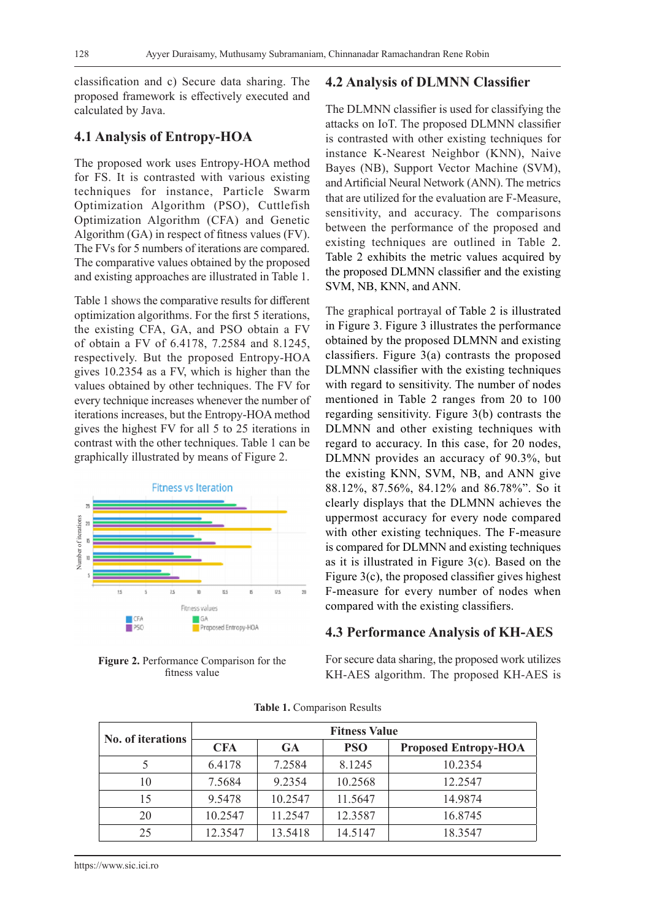classification and c) Secure data sharing. The proposed framework is effectively executed and calculated by Java.

### **4.1 Analysis of Entropy-HOA**

The proposed work uses Entropy-HOA method for FS. It is contrasted with various existing techniques for instance, Particle Swarm Optimization Algorithm (PSO), Cuttlefish Optimization Algorithm (CFA) and Genetic Algorithm (GA) in respect of fitness values (FV). The FVs for 5 numbers of iterations are compared. The comparative values obtained by the proposed and existing approaches are illustrated in Table 1.

Table 1 shows the comparative results for different optimization algorithms. For the first 5 iterations, the existing CFA, GA, and PSO obtain a FV of obtain a FV of 6.4178, 7.2584 and 8.1245, respectively. But the proposed Entropy-HOA gives 10.2354 as a FV, which is higher than the values obtained by other techniques. The FV for every technique increases whenever the number of iterations increases, but the Entropy-HOA method gives the highest FV for all 5 to 25 iterations in contrast with the other techniques. Table 1 can be graphically illustrated by means of Figure 2.



**Figure 2.** Performance Comparison for the fitness value

### **4.2 Analysis of DLMNN Classifier**

The DLMNN classifier is used for classifying the attacks on IoT. The proposed DLMNN classifier is contrasted with other existing techniques for instance K-Nearest Neighbor (KNN), Naive Bayes (NB), Support Vector Machine (SVM), and Artificial Neural Network (ANN). The metrics that are utilized for the evaluation are F-Measure, sensitivity, and accuracy. The comparisons between the performance of the proposed and existing techniques are outlined in Table 2. Table 2 exhibits the metric values acquired by the proposed DLMNN classifier and the existing SVM, NB, KNN, and ANN.

The graphical portrayal of Table 2 is illustrated in Figure 3. Figure 3 illustrates the performance obtained by the proposed DLMNN and existing classifiers. Figure 3(a) contrasts the proposed DLMNN classifier with the existing techniques with regard to sensitivity. The number of nodes mentioned in Table 2 ranges from 20 to 100 regarding sensitivity. Figure 3(b) contrasts the DLMNN and other existing techniques with regard to accuracy. In this case, for 20 nodes, DLMNN provides an accuracy of 90.3%, but the existing KNN, SVM, NB, and ANN give 88.12%, 87.56%, 84.12% and 86.78%". So it clearly displays that the DLMNN achieves the uppermost accuracy for every node compared with other existing techniques. The F-measure is compared for DLMNN and existing techniques as it is illustrated in Figure 3(c). Based on the Figure 3(c), the proposed classifier gives highest F-measure for every number of nodes when compared with the existing classifiers.

#### **4.3 Performance Analysis of KH-AES**

For secure data sharing, the proposed work utilizes KH-AES algorithm. The proposed KH-AES is

| No. of iterations | <b>Fitness Value</b> |         |            |                             |  |  |  |  |  |
|-------------------|----------------------|---------|------------|-----------------------------|--|--|--|--|--|
|                   | <b>CFA</b>           | GA      | <b>PSO</b> | <b>Proposed Entropy-HOA</b> |  |  |  |  |  |
|                   | 6.4178               | 7.2584  | 8.1245     | 10.2354                     |  |  |  |  |  |
| 10                | 7.5684               | 9.2354  | 10.2568    | 12.2547                     |  |  |  |  |  |
| 15                | 9.5478               | 10.2547 | 11.5647    | 14.9874                     |  |  |  |  |  |
| 20                | 10.2547              | 11.2547 | 12.3587    | 16.8745                     |  |  |  |  |  |
| 25                | 12.3547              | 13.5418 | 14.5147    | 18.3547                     |  |  |  |  |  |

**Table 1.** Comparison Results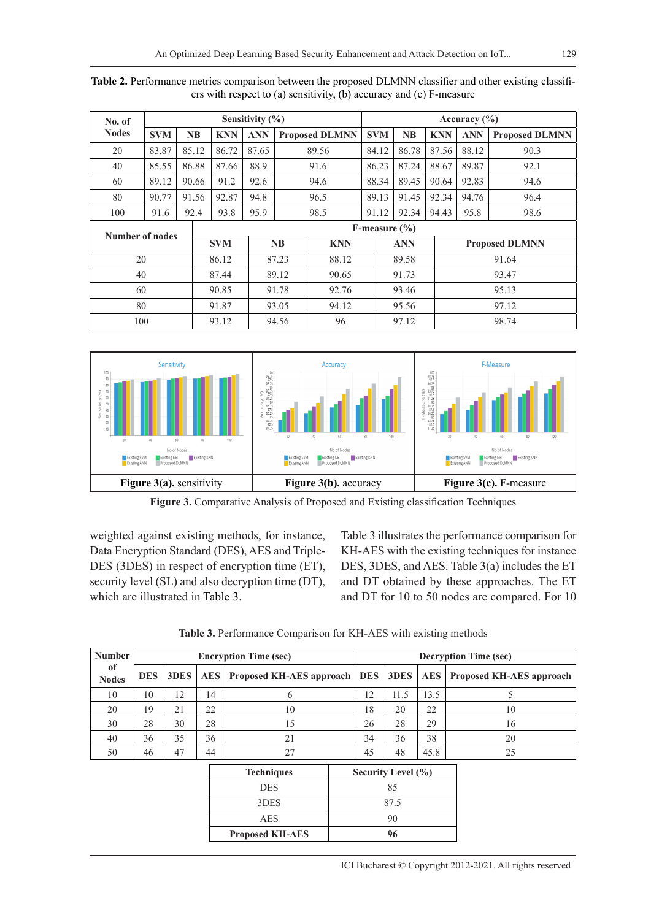| No. of               | Sensitivity $(\% )$ |                |                   |            |            |                         |       | Accuracy $(\% )$ |           |            |                       |                       |  |
|----------------------|---------------------|----------------|-------------------|------------|------------|-------------------------|-------|------------------|-----------|------------|-----------------------|-----------------------|--|
| <b>Nodes</b>         | <b>SVM</b>          | N <sub>B</sub> |                   | <b>KNN</b> | <b>ANN</b> | <b>Proposed DLMNN</b>   |       | <b>SVM</b>       | <b>NB</b> | <b>KNN</b> | <b>ANN</b>            | <b>Proposed DLMNN</b> |  |
| 20                   | 83.87               |                | 85.12             | 86.72      | 87.65      | 89.56                   |       | 84.12            | 86.78     | 87.56      | 88.12                 | 90.3                  |  |
| 40                   | 85.55               |                | 86.88             | 87.66      | 88.9       | 91.6                    |       | 86.23            | 87.24     | 88.67      | 89.87                 | 92.1                  |  |
| 60                   | 89.12               |                | 90.66             | 91.2       | 92.6       | 94.6                    |       | 88.34            | 89.45     | 90.64      | 92.83                 | 94.6                  |  |
| 80                   | 90.77               |                | 91.56             | 92.87      | 94.8       |                         | 96.5  |                  | 91.45     | 92.34      | 94.76                 | 96.4                  |  |
| 100                  | 91.6                |                | 92.4              | 93.8       | 95.9       |                         | 98.5  | 91.12            | 92.34     | 94.43      | 95.8                  | 98.6                  |  |
| Number of nodes      |                     |                | F-measure $(\% )$ |            |            |                         |       |                  |           |            |                       |                       |  |
|                      |                     |                |                   | <b>SVM</b> |            | <b>NB</b><br><b>KNN</b> |       | <b>ANN</b>       |           |            | <b>Proposed DLMNN</b> |                       |  |
|                      | 20                  |                |                   | 86.12      | 87.23      |                         | 88.12 |                  | 89.58     |            |                       | 91.64                 |  |
| 89.12<br>40<br>87.44 |                     | 90.65          |                   | 91.73      |            |                         | 93.47 |                  |           |            |                       |                       |  |
| 60                   |                     |                | 90.85             | 91.78      |            | 92.76                   |       | 93.46            |           | 95.13      |                       |                       |  |
| 80                   |                     |                |                   | 91.87      |            | 93.05                   | 94.12 |                  | 95.56     |            | 97.12                 |                       |  |
| 100                  |                     |                |                   | 93.12      |            | 94.56                   | 96    |                  | 97.12     |            | 98.74                 |                       |  |

**Table 2.** Performance metrics comparison between the proposed DLMNN classifier and other existing classifiers with respect to (a) sensitivity, (b) accuracy and (c) F-measure



**Figure 3.** Comparative Analysis of Proposed and Existing classification Techniques

weighted against existing methods, for instance, Data Encryption Standard (DES), AES and Triple-DES (3DES) in respect of encryption time (ET), security level (SL) and also decryption time (DT), which are illustrated in Table 3.

Table 3 illustrates the performance comparison for KH-AES with the existing techniques for instance DES, 3DES, and AES. Table 3(a) includes the ET and DT obtained by these approaches. The ET and DT for 10 to 50 nodes are compared. For 10

**Table 3.** Performance Comparison for KH-AES with existing methods

| <b>Number</b>          | <b>Encryption Time (sec)</b> |      |            |                          |                        | <b>Decryption Time (sec)</b> |            |                          |  |  |
|------------------------|------------------------------|------|------------|--------------------------|------------------------|------------------------------|------------|--------------------------|--|--|
| of<br><b>Nodes</b>     | <b>DES</b>                   | 3DES | <b>AES</b> | Proposed KH-AES approach | <b>DES</b>             | 3DES                         | <b>AES</b> | Proposed KH-AES approach |  |  |
| 10                     | 10                           | 12   | 14         | 6                        | 12                     | 11.5                         | 13.5       | 5                        |  |  |
| 20                     | 19                           | 21   | 22         | 10                       | 18                     | 20                           | 22         | 10                       |  |  |
| 30                     | 28                           | 30   | 28         | 15                       | 26                     | 28                           | 29         | 16                       |  |  |
| 40                     | 36                           | 35   | 36         | 21                       | 34                     | 36                           | 38         | 20                       |  |  |
| 50                     | 46                           | 47   | 44         | 27                       | 45                     | 48                           | 45.8       | 25                       |  |  |
|                        |                              |      |            | <b>Techniques</b>        | Security Level $(\% )$ |                              |            |                          |  |  |
| <b>DES</b>             |                              |      |            |                          |                        | 85                           |            |                          |  |  |
|                        | 3DES                         |      |            |                          |                        |                              | 87.5       |                          |  |  |
|                        |                              |      |            | AES                      |                        | 90                           |            |                          |  |  |
| <b>Proposed KH-AES</b> |                              |      |            |                          |                        | 96                           |            |                          |  |  |
|                        |                              |      |            |                          |                        |                              |            |                          |  |  |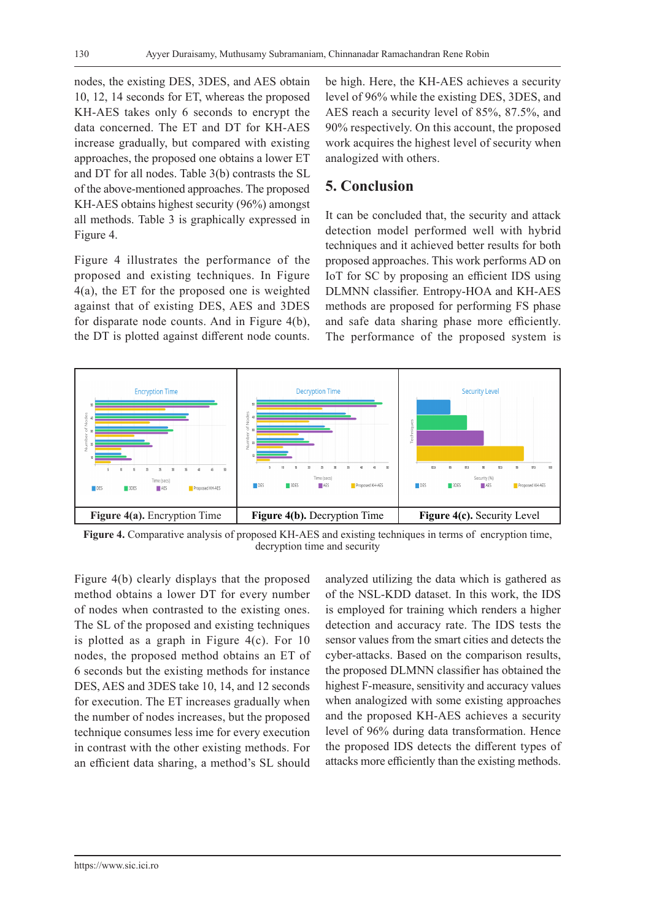nodes, the existing DES, 3DES, and AES obtain 10, 12, 14 seconds for ET, whereas the proposed KH-AES takes only 6 seconds to encrypt the data concerned. The ET and DT for KH-AES increase gradually, but compared with existing approaches, the proposed one obtains a lower ET and DT for all nodes. Table 3(b) contrasts the SL of the above-mentioned approaches. The proposed KH-AES obtains highest security (96%) amongst all methods. Table 3 is graphically expressed in Figure 4.

Figure 4 illustrates the performance of the proposed and existing techniques. In Figure 4(a), the ET for the proposed one is weighted against that of existing DES, AES and 3DES for disparate node counts. And in Figure 4(b), the DT is plotted against different node counts. be high. Here, the KH-AES achieves a security level of 96% while the existing DES, 3DES, and AES reach a security level of 85%, 87.5%, and 90% respectively. On this account, the proposed work acquires the highest level of security when analogized with others.

# **5. Conclusion**

It can be concluded that, the security and attack detection model performed well with hybrid techniques and it achieved better results for both proposed approaches. This work performs AD on IoT for SC by proposing an efficient IDS using DLMNN classifier. Entropy-HOA and KH-AES methods are proposed for performing FS phase and safe data sharing phase more efficiently. The performance of the proposed system is



**Figure 4.** Comparative analysis of proposed KH-AES and existing techniques in terms of encryption time, decryption time and security

Figure 4(b) clearly displays that the proposed method obtains a lower DT for every number of nodes when contrasted to the existing ones. The SL of the proposed and existing techniques is plotted as a graph in Figure 4(c). For 10 nodes, the proposed method obtains an ET of 6 seconds but the existing methods for instance DES, AES and 3DES take 10, 14, and 12 seconds for execution. The ET increases gradually when the number of nodes increases, but the proposed technique consumes less ime for every execution in contrast with the other existing methods. For an efficient data sharing, a method's SL should

analyzed utilizing the data which is gathered as of the NSL-KDD dataset. In this work, the IDS is employed for training which renders a higher detection and accuracy rate. The IDS tests the sensor values from the smart cities and detects the cyber-attacks. Based on the comparison results, the proposed DLMNN classifier has obtained the highest F-measure, sensitivity and accuracy values when analogized with some existing approaches and the proposed KH-AES achieves a security level of 96% during data transformation. Hence the proposed IDS detects the different types of attacks more efficiently than the existing methods.